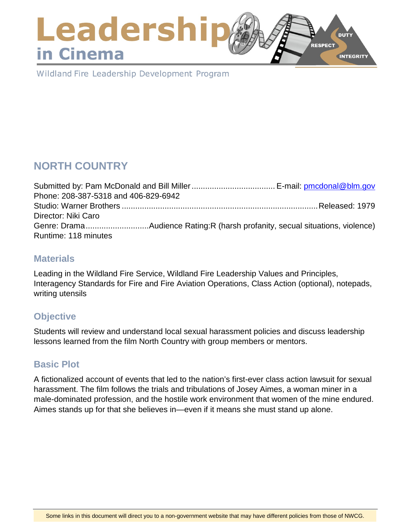### Leadershi **DUTY RESPECT** in Cinema **INTEGRITY**

Wildland Fire Leadership Development Program

# **NORTH COUNTRY**

| Phone: 208-387-5318 and 406-829-6942 |  |
|--------------------------------------|--|
|                                      |  |
| Director: Niki Caro                  |  |
|                                      |  |
| Runtime: 118 minutes                 |  |

### **Materials**

Leading in the Wildland Fire Service, Wildland Fire Leadership Values and Principles, Interagency Standards for Fire and Fire Aviation Operations, Class Action (optional), notepads, writing utensils

# **Objective**

Students will review and understand local sexual harassment policies and discuss leadership lessons learned from the film North Country with group members or mentors.

# **Basic Plot**

A fictionalized account of events that led to the nation's first-ever class action lawsuit for sexual harassment. The film follows the trials and tribulations of Josey Aimes, a woman miner in a male-dominated profession, and the hostile work environment that women of the mine endured. Aimes stands up for that she believes in—even if it means she must stand up alone.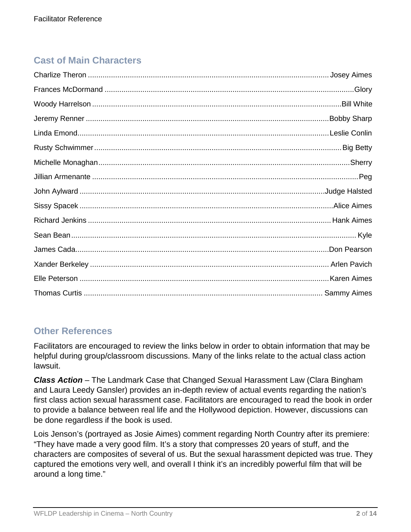# **Cast of Main Characters**

| Bobby Sharp.       |
|--------------------|
|                    |
| <b>Big Betty</b>   |
|                    |
|                    |
|                    |
|                    |
|                    |
|                    |
|                    |
|                    |
|                    |
| <b>Sammy Aimes</b> |

# **Other References**

Facilitators are encouraged to review the links below in order to obtain information that may be helpful during group/classroom discussions. Many of the links relate to the actual class action lawsuit.

*Class Action* – The Landmark Case that Changed Sexual Harassment Law (Clara Bingham and Laura Leedy Gansler) provides an in-depth review of actual events regarding the nation's first class action sexual harassment case. Facilitators are encouraged to read the book in order to provide a balance between real life and the Hollywood depiction. However, discussions can be done regardless if the book is used.

Lois Jenson's (portrayed as Josie Aimes) comment regarding North Country after its premiere: "They have made a very good film. It's a story that compresses 20 years of stuff, and the characters are composites of several of us. But the sexual harassment depicted was true. They captured the emotions very well, and overall I think it's an incredibly powerful film that will be around a long time."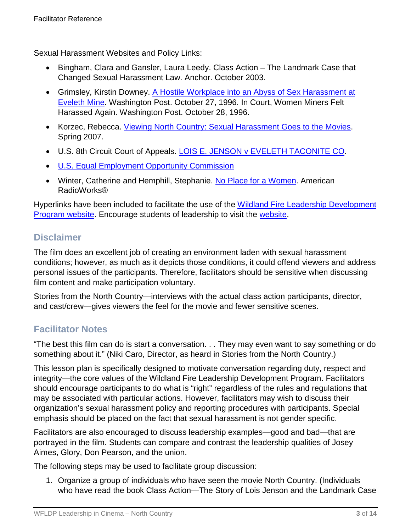Sexual Harassment Websites and Policy Links:

- Bingham, Clara and Gansler, Laura Leedy. Class Action The Landmark Case that Changed Sexual Harassment Law. Anchor. October 2003.
- Grimsley, Kirstin Downey. [A Hostile Workplace into an Abyss of Sex Harassment at](http://www.d.umn.edu/%7Eepeters5/Cst1201/Articles/A%20HOSTILE%20WORKPLACE%20INTO%20AN%20ABYSS%20OF%20SEX%20HARASSMENT%20AT%20EVELETH%20MINE.pdf) [Eveleth Mine.](http://www.d.umn.edu/%7Eepeters5/Cst1201/Articles/A%20HOSTILE%20WORKPLACE%20INTO%20AN%20ABYSS%20OF%20SEX%20HARASSMENT%20AT%20EVELETH%20MINE.pdf) Washington Post. October 27, 1996. In Court, Women Miners Felt Harassed Again. Washington Post. October 28, 1996.
- Korzec, Rebecca. [Viewing North Country: Sexual Harassment Goes to the Movies.](http://scholarworks.law.ubalt.edu/cgi/viewcontent.cgi?article=1808&context=ublr) Spring 2007.
- U.S. 8th Circuit Court of Appeals. [LOIS E. JENSON v EVELETH TACONITE CO.](http://www.ca8.uscourts.gov/opndir/97/12/971147P.pdf)
- [U.S. Equal Employment Opportunity Commission](https://www.eeoc.gov/laws/types/sexual_harassment.cfm)
- Winter, Catherine and Hemphill, Stephanie. [No Place for a Women.](http://americanradioworks.publicradio.org/features/ironrange/c2.html) American RadioWorks®

Hyperlinks have been included to facilitate the use of the [Wildland Fire Leadership Development](https://www.fireleadership.gov/)  [Program website.](https://www.fireleadership.gov/) Encourage students of leadership to visit the [website.](https://www.fireleadership.gov/)

### **Disclaimer**

The film does an excellent job of creating an environment laden with sexual harassment conditions; however, as much as it depicts those conditions, it could offend viewers and address personal issues of the participants. Therefore, facilitators should be sensitive when discussing film content and make participation voluntary.

Stories from the North Country—interviews with the actual class action participants, director, and cast/crew—gives viewers the feel for the movie and fewer sensitive scenes.

# **Facilitator Notes**

"The best this film can do is start a conversation. . . They may even want to say something or do something about it." (Niki Caro, Director, as heard in Stories from the North Country.)

This lesson plan is specifically designed to motivate conversation regarding duty, respect and integrity—the core values of the Wildland Fire Leadership Development Program. Facilitators should encourage participants to do what is "right" regardless of the rules and regulations that may be associated with particular actions. However, facilitators may wish to discuss their organization's sexual harassment policy and reporting procedures with participants. Special emphasis should be placed on the fact that sexual harassment is not gender specific.

Facilitators are also encouraged to discuss leadership examples—good and bad—that are portrayed in the film. Students can compare and contrast the leadership qualities of Josey Aimes, Glory, Don Pearson, and the union.

The following steps may be used to facilitate group discussion:

1. Organize a group of individuals who have seen the movie North Country. (Individuals who have read the book Class Action—The Story of Lois Jenson and the Landmark Case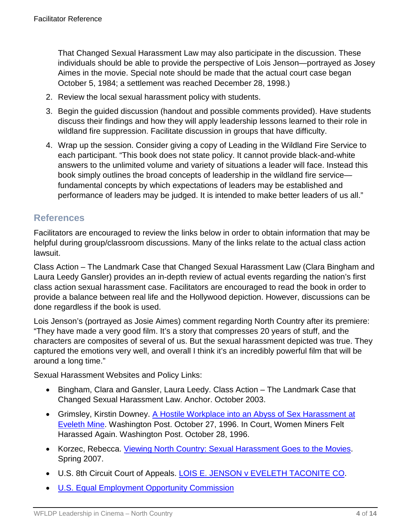That Changed Sexual Harassment Law may also participate in the discussion. These individuals should be able to provide the perspective of Lois Jenson—portrayed as Josey Aimes in the movie. Special note should be made that the actual court case began October 5, 1984; a settlement was reached December 28, 1998.)

- 2. Review the local sexual harassment policy with students.
- 3. Begin the guided discussion (handout and possible comments provided). Have students discuss their findings and how they will apply leadership lessons learned to their role in wildland fire suppression. Facilitate discussion in groups that have difficulty.
- 4. Wrap up the session. Consider giving a copy of Leading in the Wildland Fire Service to each participant. "This book does not state policy. It cannot provide black-and-white answers to the unlimited volume and variety of situations a leader will face. Instead this book simply outlines the broad concepts of leadership in the wildland fire service fundamental concepts by which expectations of leaders may be established and performance of leaders may be judged. It is intended to make better leaders of us all."

### **References**

Facilitators are encouraged to review the links below in order to obtain information that may be helpful during group/classroom discussions. Many of the links relate to the actual class action lawsuit.

Class Action – The Landmark Case that Changed Sexual Harassment Law (Clara Bingham and Laura Leedy Gansler) provides an in-depth review of actual events regarding the nation's first class action sexual harassment case. Facilitators are encouraged to read the book in order to provide a balance between real life and the Hollywood depiction. However, discussions can be done regardless if the book is used.

Lois Jenson's (portrayed as Josie Aimes) comment regarding North Country after its premiere: "They have made a very good film. It's a story that compresses 20 years of stuff, and the characters are composites of several of us. But the sexual harassment depicted was true. They captured the emotions very well, and overall I think it's an incredibly powerful film that will be around a long time."

Sexual Harassment Websites and Policy Links:

- Bingham, Clara and Gansler, Laura Leedy. Class Action The Landmark Case that Changed Sexual Harassment Law. Anchor. October 2003.
- Grimsley, Kirstin Downey. [A Hostile Workplace into an Abyss of Sex Harassment at](http://www.d.umn.edu/%7Eepeters5/Cst1201/Articles/A%20HOSTILE%20WORKPLACE%20INTO%20AN%20ABYSS%20OF%20SEX%20HARASSMENT%20AT%20EVELETH%20MINE.pdf) [Eveleth Mine.](http://www.d.umn.edu/%7Eepeters5/Cst1201/Articles/A%20HOSTILE%20WORKPLACE%20INTO%20AN%20ABYSS%20OF%20SEX%20HARASSMENT%20AT%20EVELETH%20MINE.pdf) Washington Post. October 27, 1996. In Court, Women Miners Felt Harassed Again. Washington Post. October 28, 1996.
- Korzec, Rebecca. [Viewing North Country: Sexual Harassment Goes to the Movies.](http://scholarworks.law.ubalt.edu/cgi/viewcontent.cgi?article=1808&context=ublr) Spring 2007.
- U.S. 8th Circuit Court of Appeals. [LOIS E. JENSON v EVELETH TACONITE CO.](http://www.ca8.uscourts.gov/opndir/97/12/971147P.pdf)
- [U.S. Equal Employment Opportunity Commission](https://www.eeoc.gov/laws/types/sexual_harassment.cfm)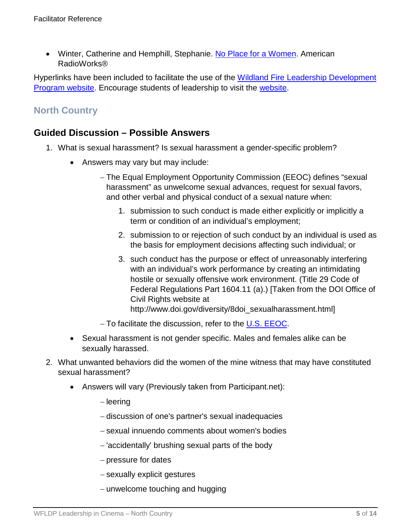• Winter, Catherine and Hemphill, Stephanie. [No Place for a Women.](http://americanradioworks.publicradio.org/features/ironrange/c2.html) American RadioWorks®

Hyperlinks have been included to facilitate the use of the [Wildland Fire Leadership Development](https://www.fireleadership.gov/)  [Program website.](https://www.fireleadership.gov/) Encourage students of leadership to visit the [website.](https://www.fireleadership.gov/)

# **North Country**

## **Guided Discussion – Possible Answers**

- 1. What is sexual harassment? Is sexual harassment a gender-specific problem?
	- Answers may vary but may include:
		- − The Equal Employment Opportunity Commission (EEOC) defines "sexual harassment" as unwelcome sexual advances, request for sexual favors, and other verbal and physical conduct of a sexual nature when:
			- 1. submission to such conduct is made either explicitly or implicitly a term or condition of an individual's employment;
			- 2. submission to or rejection of such conduct by an individual is used as the basis for employment decisions affecting such individual; or
			- 3. such conduct has the purpose or effect of unreasonably interfering with an individual's work performance by creating an intimidating hostile or sexually offensive work environment. (Title 29 Code of Federal Regulations Part 1604.11 (a).) [Taken from the DOI Office of Civil Rights website at http://www.doi.gov/diversity/8doi\_sexualharassment.html]
		- − To facilitate the discussion, refer to the [U.S. EEOC.](https://www.eeoc.gov/)
	- Sexual harassment is not gender specific. Males and females alike can be sexually harassed.
- 2. What unwanted behaviors did the women of the mine witness that may have constituted sexual harassment?
	- Answers will vary (Previously taken from Participant.net):
		- − leering
		- − discussion of one's partner's sexual inadequacies
		- − sexual innuendo comments about women's bodies
		- − 'accidentally' brushing sexual parts of the body
		- − pressure for dates
		- − sexually explicit gestures
		- − unwelcome touching and hugging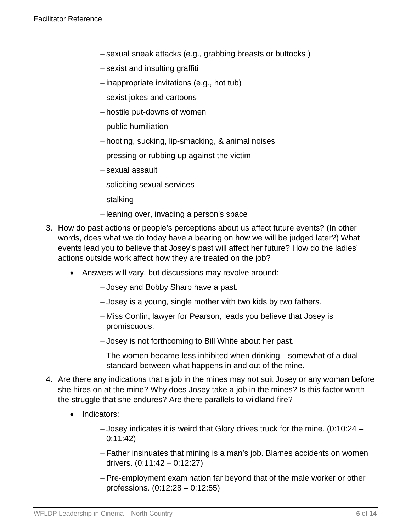- − sexual sneak attacks (e.g., grabbing breasts or buttocks )
- − sexist and insulting graffiti
- − inappropriate invitations (e.g., hot tub)
- − sexist jokes and cartoons
- − hostile put-downs of women
- − public humiliation
- − hooting, sucking, lip-smacking, & animal noises
- − pressing or rubbing up against the victim
- − sexual assault
- − soliciting sexual services
- − stalking
- − leaning over, invading a person's space
- 3. How do past actions or people's perceptions about us affect future events? (In other words, does what we do today have a bearing on how we will be judged later?) What events lead you to believe that Josey's past will affect her future? How do the ladies' actions outside work affect how they are treated on the job?
	- Answers will vary, but discussions may revolve around:
		- − Josey and Bobby Sharp have a past.
		- − Josey is a young, single mother with two kids by two fathers.
		- − Miss Conlin, lawyer for Pearson, leads you believe that Josey is promiscuous.
		- − Josey is not forthcoming to Bill White about her past.
		- − The women became less inhibited when drinking—somewhat of a dual standard between what happens in and out of the mine.
- 4. Are there any indications that a job in the mines may not suit Josey or any woman before she hires on at the mine? Why does Josey take a job in the mines? Is this factor worth the struggle that she endures? Are there parallels to wildland fire?
	- Indicators:
		- − Josey indicates it is weird that Glory drives truck for the mine. (0:10:24 0:11:42)
		- − Father insinuates that mining is a man's job. Blames accidents on women drivers. (0:11:42 – 0:12:27)
		- − Pre-employment examination far beyond that of the male worker or other professions. (0:12:28 – 0:12:55)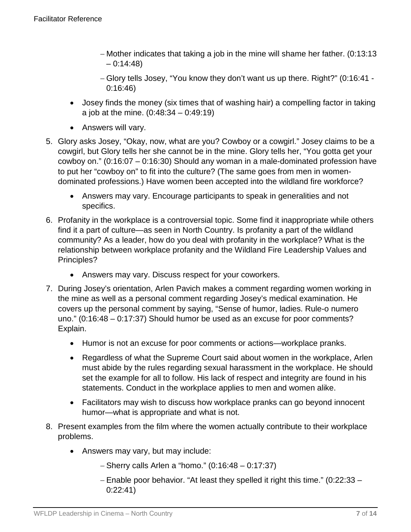- − Mother indicates that taking a job in the mine will shame her father. (0:13:13  $-0:14:48$
- − Glory tells Josey, "You know they don't want us up there. Right?" (0:16:41 0:16:46)
- Josey finds the money (six times that of washing hair) a compelling factor in taking a job at the mine. (0:48:34 – 0:49:19)
- Answers will vary.
- 5. Glory asks Josey, "Okay, now, what are you? Cowboy or a cowgirl." Josey claims to be a cowgirl, but Glory tells her she cannot be in the mine. Glory tells her, "You gotta get your cowboy on." (0:16:07 – 0:16:30) Should any woman in a male-dominated profession have to put her "cowboy on" to fit into the culture? (The same goes from men in womendominated professions.) Have women been accepted into the wildland fire workforce?
	- Answers may vary. Encourage participants to speak in generalities and not specifics.
- 6. Profanity in the workplace is a controversial topic. Some find it inappropriate while others find it a part of culture—as seen in North Country. Is profanity a part of the wildland community? As a leader, how do you deal with profanity in the workplace? What is the relationship between workplace profanity and the Wildland Fire Leadership Values and Principles?
	- Answers may vary. Discuss respect for your coworkers.
- 7. During Josey's orientation, Arlen Pavich makes a comment regarding women working in the mine as well as a personal comment regarding Josey's medical examination. He covers up the personal comment by saying, "Sense of humor, ladies. Rule-o numero uno." (0:16:48 – 0:17:37) Should humor be used as an excuse for poor comments? Explain.
	- Humor is not an excuse for poor comments or actions—workplace pranks.
	- Regardless of what the Supreme Court said about women in the workplace, Arlen must abide by the rules regarding sexual harassment in the workplace. He should set the example for all to follow. His lack of respect and integrity are found in his statements. Conduct in the workplace applies to men and women alike.
	- Facilitators may wish to discuss how workplace pranks can go beyond innocent humor—what is appropriate and what is not.
- 8. Present examples from the film where the women actually contribute to their workplace problems.
	- Answers may vary, but may include:
		- − Sherry calls Arlen a "homo." (0:16:48 0:17:37)
		- − Enable poor behavior. "At least they spelled it right this time." (0:22:33 0:22:41)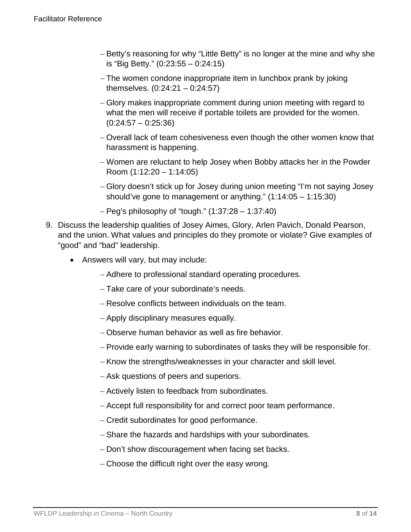- − Betty's reasoning for why "Little Betty" is no longer at the mine and why she is "Big Betty." (0:23:55 – 0:24:15)
- − The women condone inappropriate item in lunchbox prank by joking themselves. (0:24:21 – 0:24:57)
- − Glory makes inappropriate comment during union meeting with regard to what the men will receive if portable toilets are provided for the women.  $(0:24:57 - 0:25:36)$
- − Overall lack of team cohesiveness even though the other women know that harassment is happening.
- − Women are reluctant to help Josey when Bobby attacks her in the Powder Room (1:12:20 – 1:14:05)
- − Glory doesn't stick up for Josey during union meeting "I'm not saying Josey should've gone to management or anything." (1:14:05 – 1:15:30)
- − Peg's philosophy of "tough." (1:37:28 1:37:40)
- 9. Discuss the leadership qualities of Josey Aimes, Glory, Arlen Pavich, Donald Pearson, and the union. What values and principles do they promote or violate? Give examples of "good" and "bad" leadership.
	- Answers will vary, but may include:
		- − Adhere to professional standard operating procedures.
		- − Take care of your subordinate's needs.
		- − Resolve conflicts between individuals on the team.
		- − Apply disciplinary measures equally.
		- − Observe human behavior as well as fire behavior.
		- − Provide early warning to subordinates of tasks they will be responsible for.
		- − Know the strengths/weaknesses in your character and skill level.
		- − Ask questions of peers and superiors.
		- − Actively listen to feedback from subordinates.
		- − Accept full responsibility for and correct poor team performance.
		- − Credit subordinates for good performance.
		- − Share the hazards and hardships with your subordinates.
		- − Don't show discouragement when facing set backs.
		- − Choose the difficult right over the easy wrong.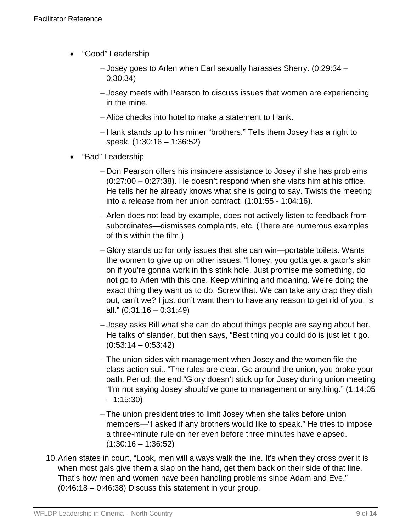- "Good" Leadership
	- − Josey goes to Arlen when Earl sexually harasses Sherry. (0:29:34 0:30:34)
	- − Josey meets with Pearson to discuss issues that women are experiencing in the mine.
	- − Alice checks into hotel to make a statement to Hank.
	- − Hank stands up to his miner "brothers." Tells them Josey has a right to speak. (1:30:16 – 1:36:52)
- "Bad" Leadership
	- − Don Pearson offers his insincere assistance to Josey if she has problems (0:27:00 – 0:27:38). He doesn't respond when she visits him at his office. He tells her he already knows what she is going to say. Twists the meeting into a release from her union contract. (1:01:55 - 1:04:16).
	- − Arlen does not lead by example, does not actively listen to feedback from subordinates—dismisses complaints, etc. (There are numerous examples of this within the film.)
	- − Glory stands up for only issues that she can win—portable toilets. Wants the women to give up on other issues. "Honey, you gotta get a gator's skin on if you're gonna work in this stink hole. Just promise me something, do not go to Arlen with this one. Keep whining and moaning. We're doing the exact thing they want us to do. Screw that. We can take any crap they dish out, can't we? I just don't want them to have any reason to get rid of you, is all." (0:31:16 – 0:31:49)
	- − Josey asks Bill what she can do about things people are saying about her. He talks of slander, but then says, "Best thing you could do is just let it go.  $(0:53:14 - 0:53:42)$
	- − The union sides with management when Josey and the women file the class action suit. "The rules are clear. Go around the union, you broke your oath. Period; the end."Glory doesn't stick up for Josey during union meeting "I'm not saying Josey should've gone to management or anything." (1:14:05  $-1:15:30$
	- − The union president tries to limit Josey when she talks before union members—"I asked if any brothers would like to speak." He tries to impose a three-minute rule on her even before three minutes have elapsed.  $(1:30:16 - 1:36:52)$
- 10.Arlen states in court, "Look, men will always walk the line. It's when they cross over it is when most gals give them a slap on the hand, get them back on their side of that line. That's how men and women have been handling problems since Adam and Eve." (0:46:18 – 0:46:38) Discuss this statement in your group.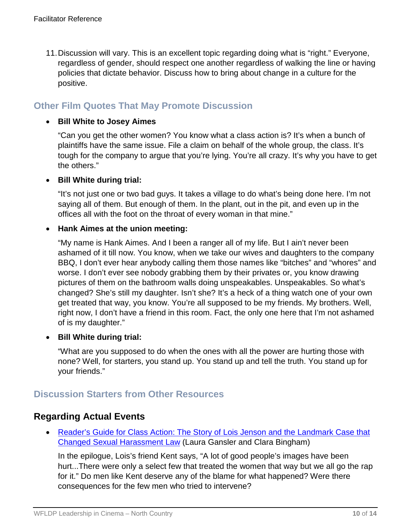11.Discussion will vary. This is an excellent topic regarding doing what is "right." Everyone, regardless of gender, should respect one another regardless of walking the line or having policies that dictate behavior. Discuss how to bring about change in a culture for the positive.

### **Other Film Quotes That May Promote Discussion**

#### • **Bill White to Josey Aimes**

"Can you get the other women? You know what a class action is? It's when a bunch of plaintiffs have the same issue. File a claim on behalf of the whole group, the class. It's tough for the company to argue that you're lying. You're all crazy. It's why you have to get the others."

#### • **Bill White during trial:**

"It's not just one or two bad guys. It takes a village to do what's being done here. I'm not saying all of them. But enough of them. In the plant, out in the pit, and even up in the offices all with the foot on the throat of every woman in that mine."

#### • **Hank Aimes at the union meeting:**

"My name is Hank Aimes. And I been a ranger all of my life. But I ain't never been ashamed of it till now. You know, when we take our wives and daughters to the company BBQ, I don't ever hear anybody calling them those names like "bitches" and "whores" and worse. I don't ever see nobody grabbing them by their privates or, you know drawing pictures of them on the bathroom walls doing unspeakables. Unspeakables. So what's changed? She's still my daughter. Isn't she? It's a heck of a thing watch one of your own get treated that way, you know. You're all supposed to be my friends. My brothers. Well, right now, I don't have a friend in this room. Fact, the only one here that I'm not ashamed of is my daughter."

#### • **Bill White during trial:**

"What are you supposed to do when the ones with all the power are hurting those with none? Well, for starters, you stand up. You stand up and tell the truth. You stand up for your friends."

### **Discussion Starters from Other Resources**

### **Regarding Actual Events**

• [Reader's Guide for Class Action: The Story of Lois Jenson and the Landmark Case that](http://www.bookbrowse.com/reading_guides/detail/index.cfm?book_number=1069) [Changed Sexual Harassment Law](http://www.bookbrowse.com/reading_guides/detail/index.cfm?book_number=1069) (Laura Gansler and Clara Bingham)

In the epilogue, Lois's friend Kent says, "A lot of good people's images have been hurt...There were only a select few that treated the women that way but we all go the rap for it." Do men like Kent deserve any of the blame for what happened? Were there consequences for the few men who tried to intervene?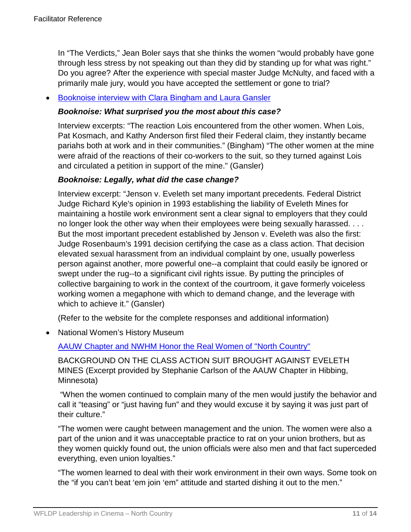In "The Verdicts," Jean Boler says that she thinks the women "would probably have gone through less stress by not speaking out than they did by standing up for what was right." Do you agree? After the experience with special master Judge McNulty, and faced with a primarily male jury, would you have accepted the settlement or gone to trial?

#### • [Booknoise interview with Clara Bingham and Laura Gansler](http://www.booknoise.net/class_action/interview/index.html)

#### *Booknoise: What surprised you the most about this case?*

Interview excerpts: "The reaction Lois encountered from the other women. When Lois, Pat Kosmach, and Kathy Anderson first filed their Federal claim, they instantly became pariahs both at work and in their communities." (Bingham) "The other women at the mine were afraid of the reactions of their co-workers to the suit, so they turned against Lois and circulated a petition in support of the mine." (Gansler)

#### *Booknoise: Legally, what did the case change?*

Interview excerpt: "Jenson v. Eveleth set many important precedents. Federal District Judge Richard Kyle's opinion in 1993 establishing the liability of Eveleth Mines for maintaining a hostile work environment sent a clear signal to employers that they could no longer look the other way when their employees were being sexually harassed. . . . But the most important precedent established by Jenson v. Eveleth was also the first: Judge Rosenbaum's 1991 decision certifying the case as a class action. That decision elevated sexual harassment from an individual complaint by one, usually powerless person against another, more powerful one--a complaint that could easily be ignored or swept under the rug--to a significant civil rights issue. By putting the principles of collective bargaining to work in the context of the courtroom, it gave formerly voiceless working women a megaphone with which to demand change, and the leverage with which to achieve it." (Gansler)

(Refer to the website for the complete responses and additional information)

• National Women's History Museum

#### [AAUW Chapter and NWHM Honor the Real Women of "North Country"](https://www.nwhm.org/articles/real-women-north-country)

BACKGROUND ON THE CLASS ACTION SUIT BROUGHT AGAINST EVELETH MINES (Excerpt provided by Stephanie Carlson of the AAUW Chapter in Hibbing, Minnesota)

"When the women continued to complain many of the men would justify the behavior and call it "teasing" or "just having fun" and they would excuse it by saying it was just part of their culture."

"The women were caught between management and the union. The women were also a part of the union and it was unacceptable practice to rat on your union brothers, but as they women quickly found out, the union officials were also men and that fact superceded everything, even union loyalties."

"The women learned to deal with their work environment in their own ways. Some took on the "if you can't beat 'em join 'em" attitude and started dishing it out to the men."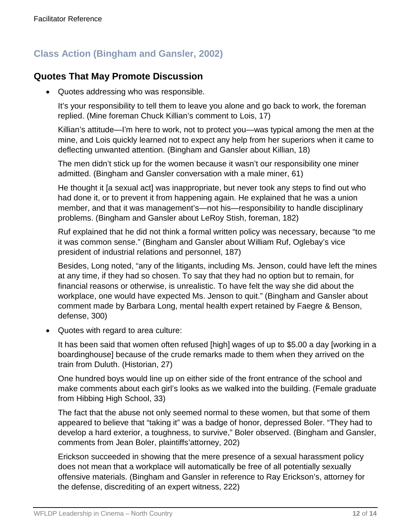# **Class Action (Bingham and Gansler, 2002)**

### **Quotes That May Promote Discussion**

• Quotes addressing who was responsible.

It's your responsibility to tell them to leave you alone and go back to work, the foreman replied. (Mine foreman Chuck Killian's comment to Lois, 17)

Killian's attitude—I'm here to work, not to protect you—was typical among the men at the mine, and Lois quickly learned not to expect any help from her superiors when it came to deflecting unwanted attention. (Bingham and Gansler about Killian, 18)

The men didn't stick up for the women because it wasn't our responsibility one miner admitted. (Bingham and Gansler conversation with a male miner, 61)

He thought it [a sexual act] was inappropriate, but never took any steps to find out who had done it, or to prevent it from happening again. He explained that he was a union member, and that it was management's—not his—responsibility to handle disciplinary problems. (Bingham and Gansler about LeRoy Stish, foreman, 182)

Ruf explained that he did not think a formal written policy was necessary, because "to me it was common sense." (Bingham and Gansler about William Ruf, Oglebay's vice president of industrial relations and personnel, 187)

Besides, Long noted, "any of the litigants, including Ms. Jenson, could have left the mines at any time, if they had so chosen. To say that they had no option but to remain, for financial reasons or otherwise, is unrealistic. To have felt the way she did about the workplace, one would have expected Ms. Jenson to quit." (Bingham and Gansler about comment made by Barbara Long, mental health expert retained by Faegre & Benson, defense, 300)

• Quotes with regard to area culture:

It has been said that women often refused [high] wages of up to \$5.00 a day [working in a boardinghouse] because of the crude remarks made to them when they arrived on the train from Duluth. (Historian, 27)

One hundred boys would line up on either side of the front entrance of the school and make comments about each girl's looks as we walked into the building. (Female graduate from Hibbing High School, 33)

The fact that the abuse not only seemed normal to these women, but that some of them appeared to believe that "taking it" was a badge of honor, depressed Boler. "They had to develop a hard exterior, a toughness, to survive," Boler observed. (Bingham and Gansler, comments from Jean Boler, plaintiffs'attorney, 202)

Erickson succeeded in showing that the mere presence of a sexual harassment policy does not mean that a workplace will automatically be free of all potentially sexually offensive materials. (Bingham and Gansler in reference to Ray Erickson's, attorney for the defense, discrediting of an expert witness, 222)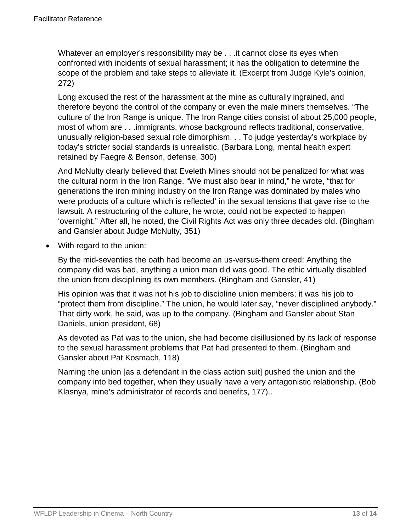Whatever an employer's responsibility may be . . . it cannot close its eyes when confronted with incidents of sexual harassment; it has the obligation to determine the scope of the problem and take steps to alleviate it. (Excerpt from Judge Kyle's opinion, 272)

Long excused the rest of the harassment at the mine as culturally ingrained, and therefore beyond the control of the company or even the male miners themselves. "The culture of the Iron Range is unique. The Iron Range cities consist of about 25,000 people, most of whom are . . .immigrants, whose background reflects traditional, conservative, unusually religion-based sexual role dimorphism. . . To judge yesterday's workplace by today's stricter social standards is unrealistic. (Barbara Long, mental health expert retained by Faegre & Benson, defense, 300)

And McNulty clearly believed that Eveleth Mines should not be penalized for what was the cultural norm in the Iron Range. "We must also bear in mind," he wrote, "that for generations the iron mining industry on the Iron Range was dominated by males who were products of a culture which is reflected' in the sexual tensions that gave rise to the lawsuit. A restructuring of the culture, he wrote, could not be expected to happen 'overnight." After all, he noted, the Civil Rights Act was only three decades old. (Bingham and Gansler about Judge McNulty, 351)

• With regard to the union:

By the mid-seventies the oath had become an us-versus-them creed: Anything the company did was bad, anything a union man did was good. The ethic virtually disabled the union from disciplining its own members. (Bingham and Gansler, 41)

His opinion was that it was not his job to discipline union members; it was his job to "protect them from discipline." The union, he would later say, "never disciplined anybody." That dirty work, he said, was up to the company. (Bingham and Gansler about Stan Daniels, union president, 68)

As devoted as Pat was to the union, she had become disillusioned by its lack of response to the sexual harassment problems that Pat had presented to them. (Bingham and Gansler about Pat Kosmach, 118)

Naming the union [as a defendant in the class action suit] pushed the union and the company into bed together, when they usually have a very antagonistic relationship. (Bob Klasnya, mine's administrator of records and benefits, 177)..